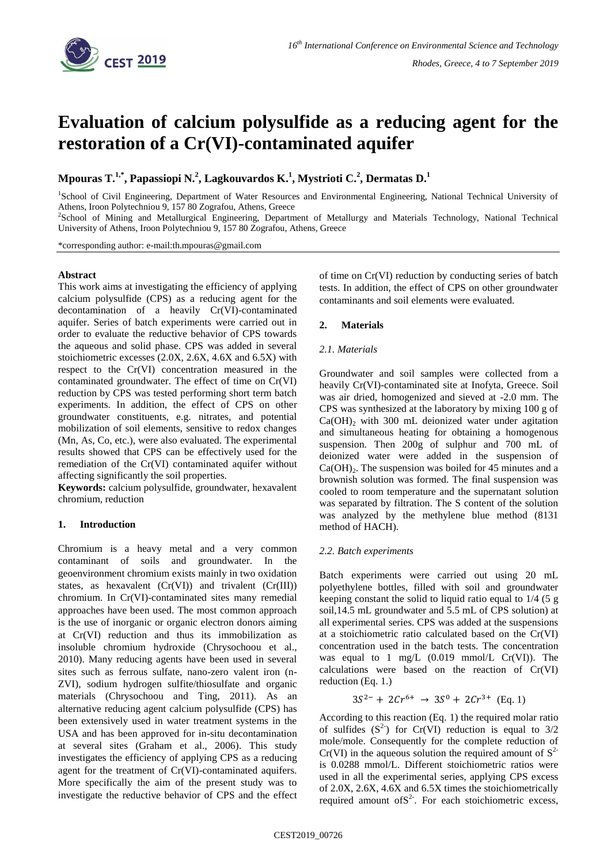

# **Evaluation of calcium polysulfide as a reducing agent for the restoration of a Cr(VI)-contaminated aquifer**

**Mpouras T.1,\*, Papassiopi N.<sup>2</sup> , Lagkouvardos K.<sup>1</sup> , Mystrioti C.<sup>2</sup> , Dermatas D.<sup>1</sup>**

<sup>1</sup>School of Civil Engineering, Department of Water Resources and Environmental Engineering, National Technical University of Athens, Iroon Polytechniou 9, 157 80 Zografou, Athens, Greece

2 School of Mining and Metallurgical Engineering, Department of Metallurgy and Materials Technology, National Technical University of Athens, Iroon Polytechniou 9, 157 80 Zografou, Athens, Greece

\*corresponding author: e-mail:th.mpouras@gmail.com

## **Abstract**

This work aims at investigating the efficiency of applying calcium polysulfide (CPS) as a reducing agent for the decontamination of a heavily Cr(VI)-contaminated aquifer. Series of batch experiments were carried out in order to evaluate the reductive behavior of CPS towards the aqueous and solid phase. CPS was added in several stoichiometric excesses (2.0X, 2.6X, 4.6X and 6.5X) with respect to the Cr(VI) concentration measured in the contaminated groundwater. The effect of time on Cr(VI) reduction by CPS was tested performing short term batch experiments. In addition, the effect of CPS on other groundwater constituents, e.g. nitrates, and potential mobilization of soil elements, sensitive to redox changes (Mn, As, Co, etc.), were also evaluated. The experimental results showed that CPS can be effectively used for the remediation of the Cr(VI) contaminated aquifer without affecting significantly the soil properties.

**Keywords:** calcium polysulfide, groundwater, hexavalent chromium, reduction

# **1. Introduction**

Chromium is a heavy metal and a very common contaminant of soils and groundwater. In the geoenvironment chromium exists mainly in two oxidation states, as hexavalent  $(Cr(VI))$  and trivalent  $(Cr(III))$ chromium. In Cr(VI)-contaminated sites many remedial approaches have been used. The most common approach is the use of inorganic or organic electron donors aiming at Cr(VI) reduction and thus its immobilization as insoluble chromium hydroxide (Chrysochoou et al., 2010). Many reducing agents have been used in several sites such as ferrous sulfate, nano-zero valent iron (n-ZVI), sodium hydrogen sulfite/thiosulfate and organic materials (Chrysochoou and Ting, 2011). As an alternative reducing agent calcium polysulfide (CPS) has been extensively used in water treatment systems in the USA and has been approved for in-situ decontamination at several sites (Graham et al., 2006). This study investigates the efficiency of applying CPS as a reducing agent for the treatment of Cr(VI)-contaminated aquifers. More specifically the aim of the present study was to investigate the reductive behavior of CPS and the effect of time on Cr(VI) reduction by conducting series of batch tests. In addition, the effect of CPS on other groundwater contaminants and soil elements were evaluated.

## **2. Materials**

## *2.1. Materials*

Groundwater and soil samples were collected from a heavily Cr(VI)-contaminated site at Inofyta, Greece. Soil was air dried, homogenized and sieved at -2.0 mm. The CPS was synthesized at the laboratory by mixing 100 g of  $Ca(OH)_{2}$  with 300 mL deionized water under agitation and simultaneous heating for obtaining a homogenous suspension. Then 200g of sulphur and 700 mL of deionized water were added in the suspension of  $Ca(OH)_{2}$ . The suspension was boiled for 45 minutes and a brownish solution was formed. The final suspension was cooled to room temperature and the supernatant solution was separated by filtration. The S content of the solution was analyzed by the methylene blue method (8131 method of HACH).

#### *2.2. Batch experiments*

Batch experiments were carried out using 20 mL polyethylene bottles, filled with soil and groundwater keeping constant the solid to liquid ratio equal to 1/4 (5 g soil,14.5 mL groundwater and 5.5 mL of CPS solution) at all experimental series. CPS was added at the suspensions at a stoichiometric ratio calculated based on the Cr(VI) concentration used in the batch tests. The concentration was equal to 1 mg/L  $(0.019 \text{ mmol/L Cr(VI)})$ . The calculations were based on the reaction of Cr(VI) reduction (Eq. 1.)

$$
3S^{2-} + 2Cr^{6+} \rightarrow 3S^0 + 2Cr^{3+} \text{ (Eq. 1)}
$$

According to this reaction (Eq. 1) the required molar ratio of sulfides  $(S^2)$  for Cr(VI) reduction is equal to  $3/2$ mole/mole. Consequently for the complete reduction of  $Cr(VI)$  in the aqueous solution the required amount of  $S^2$ is 0.0288 mmol/L. Different stoichiometric ratios were used in all the experimental series, applying CPS excess of 2.0X, 2.6X, 4.6X and 6.5X times the stoichiometrically required amount of  $S^2$ . For each stoichiometric excess,